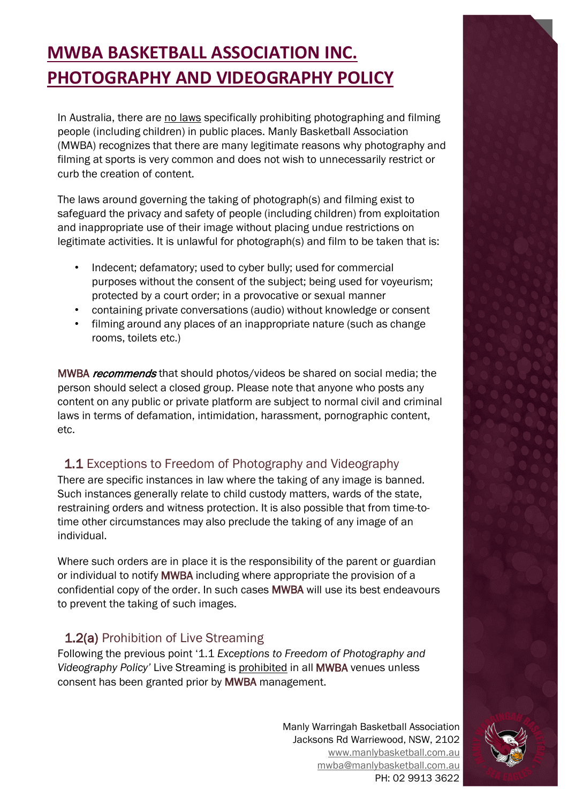# **MWBA BASKETBALL ASSOCIATION INC. PHOTOGRAPHY AND VIDEOGRAPHY POLICY**

In Australia, there are no laws specifically prohibiting photographing and filming people (including children) in public places. Manly Basketball Association (MWBA) recognizes that there are many legitimate reasons why photography and filming at sports is very common and does not wish to unnecessarily restrict or curb the creation of content.

The laws around governing the taking of photograph(s) and filming exist to safeguard the privacy and safety of people (including children) from exploitation and inappropriate use of their image without placing undue restrictions on legitimate activities. It is unlawful for photograph(s) and film to be taken that is:

- Indecent; defamatory; used to cyber bully; used for commercial purposes without the consent of the subject; being used for voyeurism; protected by a court order; in a provocative or sexual manner
- containing private conversations (audio) without knowledge or consent
- filming around any places of an inappropriate nature (such as change rooms, toilets etc.)

MWBA *recommends* that should photos/videos be shared on social media; the person should select a closed group. Please note that anyone who posts any content on any public or private platform are subject to normal civil and criminal laws in terms of defamation, intimidation, harassment, pornographic content, etc.

## 1.1 Exceptions to Freedom of Photography and Videography

There are specific instances in law where the taking of any image is banned. Such instances generally relate to child custody matters, wards of the state, restraining orders and witness protection. It is also possible that from time-totime other circumstances may also preclude the taking of any image of an individual.

Where such orders are in place it is the responsibility of the parent or guardian or individual to notify MWBA including where appropriate the provision of a confidential copy of the order. In such cases MWBA will use its best endeavours to prevent the taking of such images.

#### 1.2(a) Prohibition of Live Streaming

Following the previous point '1.1 *Exceptions to Freedom of Photography and Videography Policy'* Live Streaming is prohibited in all MWBA venues unless consent has been granted prior by MWBA management.

> Manly Warringah Basketball Association Jacksons Rd Warriewood, NSW, 2102 [www.manlybasketball.com.au](http://www.manlybasketball.com.au/) [mwba@manlybasketball.com.au](mailto:mwba@manlybasketball.com.au) PH: 02 9913 3622